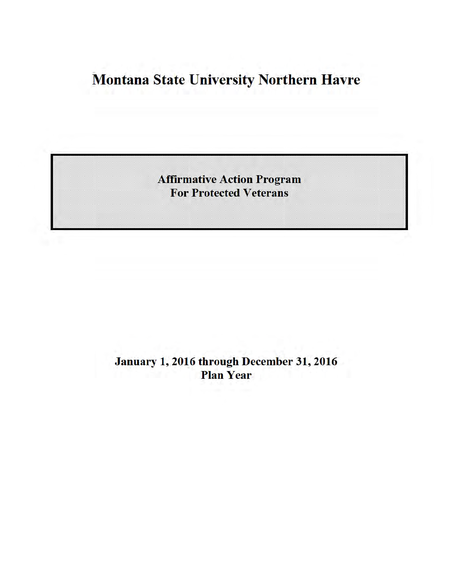# **Montana State University Northern Havre**

**Affirmative Action Program For Protected Veterans** 

January 1, 2016 through December 31, 2016 **Plan Year**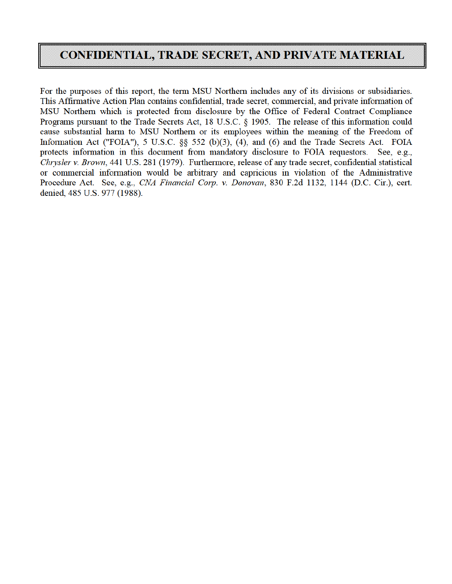### **CONFIDENTIAL, TRADE SECRET, AND PRIVATE MATERIAL**

For the purposes of this report, the term MSU Northern includes any of its divisions or subsidiaries. This Affirmative Action Plan contains confidential, trade secret, commercial, and private information of MSU Northern which is protected from disclosure by the Office of Federal Contract Compliance Programs pursuant to the Trade Secrets Act, 18 U.S.C. § 1905. The release of this information could cause substantial harm to MSU Northern or its employees within the meaning of the Freedom of Information Act ("FOIA"), 5 U.S.C. §§ 552 (b)(3), (4), and (6) and the Trade Secrets Act. FOIA protects information in this document from mandatory disclosure to FOIA requestors. See, e.g., Chrysler v. Brown, 441 U.S. 281 (1979). Furthermore, release of any trade secret, confidential statistical or commercial information would be arbitrary and capricious in violation of the Administrative Procedure Act. See, e.g., CNA Financial Corp. v. Donovan, 830 F.2d 1132, 1144 (D.C. Cir.), cert. denied, 485 U.S. 977 (1988).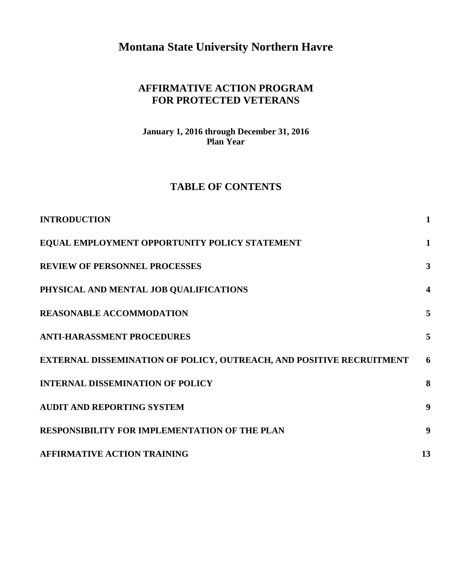**Montana State University Northern Havre** 

#### **AFFIRMATIVE ACTION PROGRAM FOR PROTECTED VETERANS**

**January 1, 2016 through December 31, 2016 Plan Year** 

#### **TABLE OF CONTENTS**

| <b>INTRODUCTION</b>                                                  | $\mathbf{1}$            |
|----------------------------------------------------------------------|-------------------------|
| EQUAL EMPLOYMENT OPPORTUNITY POLICY STATEMENT                        | 1                       |
| <b>REVIEW OF PERSONNEL PROCESSES</b>                                 | $\mathbf{3}$            |
| PHYSICAL AND MENTAL JOB QUALIFICATIONS                               | $\overline{\mathbf{4}}$ |
| <b>REASONABLE ACCOMMODATION</b>                                      | 5                       |
| <b>ANTI-HARASSMENT PROCEDURES</b>                                    | 5                       |
| EXTERNAL DISSEMINATION OF POLICY, OUTREACH, AND POSITIVE RECRUITMENT | 6                       |
| <b>INTERNAL DISSEMINATION OF POLICY</b>                              | 8                       |
| <b>AUDIT AND REPORTING SYSTEM</b>                                    | 9                       |
| <b>RESPONSIBILITY FOR IMPLEMENTATION OF THE PLAN</b>                 | $\boldsymbol{9}$        |
| <b>AFFIRMATIVE ACTION TRAINING</b>                                   | 13                      |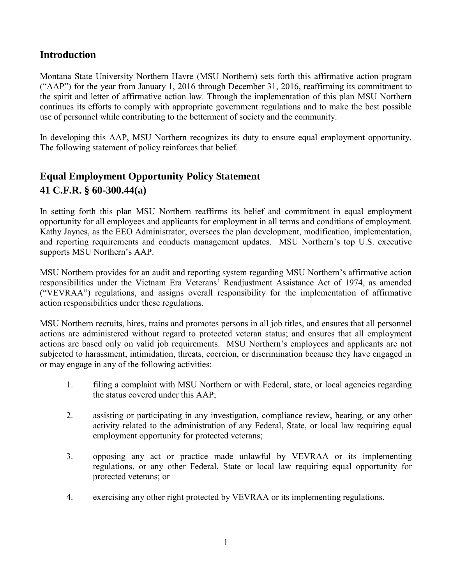#### **Introduction**

Montana State University Northern Havre (MSU Northern) sets forth this affirmative action program ("AAP") for the year from January 1, 2016 through December 31, 2016, reaffirming its commitment to the spirit and letter of affirmative action law. Through the implementation of this plan MSU Northern continues its efforts to comply with appropriate government regulations and to make the best possible use of personnel while contributing to the betterment of society and the community.

In developing this AAP, MSU Northern recognizes its duty to ensure equal employment opportunity. The following statement of policy reinforces that belief.

### **Equal Employment Opportunity Policy Statement 41 C.F.R. § 60-300.44(a)**

In setting forth this plan MSU Northern reaffirms its belief and commitment in equal employment opportunity for all employees and applicants for employment in all terms and conditions of employment. Kathy Jaynes, as the EEO Administrator, oversees the plan development, modification, implementation, and reporting requirements and conducts management updates. MSU Northern's top U.S. executive supports MSU Northern's AAP.

MSU Northern provides for an audit and reporting system regarding MSU Northern's affirmative action responsibilities under the Vietnam Era Veterans' Readjustment Assistance Act of 1974, as amended ("VEVRAA") regulations, and assigns overall responsibility for the implementation of affirmative action responsibilities under these regulations.

MSU Northern recruits, hires, trains and promotes persons in all job titles, and ensures that all personnel actions are administered without regard to protected veteran status; and ensures that all employment actions are based only on valid job requirements. MSU Northern's employees and applicants are not subjected to harassment, intimidation, threats, coercion, or discrimination because they have engaged in or may engage in any of the following activities:

- 1. filing a complaint with MSU Northern or with Federal, state, or local agencies regarding the status covered under this AAP;
- 2. assisting or participating in any investigation, compliance review, hearing, or any other activity related to the administration of any Federal, State, or local law requiring equal employment opportunity for protected veterans;
- 3. opposing any act or practice made unlawful by VEVRAA or its implementing regulations, or any other Federal, State or local law requiring equal opportunity for protected veterans; or
- 4. exercising any other right protected by VEVRAA or its implementing regulations.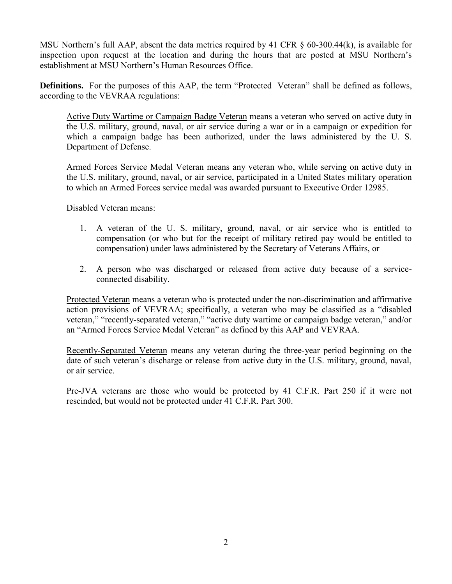MSU Northern's full AAP, absent the data metrics required by 41 CFR § 60-300.44(k), is available for inspection upon request at the location and during the hours that are posted at MSU Northern's establishment at MSU Northern's Human Resources Office.

**Definitions.** For the purposes of this AAP, the term "Protected Veteran" shall be defined as follows, according to the VEVRAA regulations:

Active Duty Wartime or Campaign Badge Veteran means a veteran who served on active duty in the U.S. military, ground, naval, or air service during a war or in a campaign or expedition for which a campaign badge has been authorized, under the laws administered by the U. S. Department of Defense.

Armed Forces Service Medal Veteran means any veteran who, while serving on active duty in the U.S. military, ground, naval, or air service, participated in a United States military operation to which an Armed Forces service medal was awarded pursuant to Executive Order 12985.

Disabled Veteran means:

- 1. A veteran of the U. S. military, ground, naval, or air service who is entitled to compensation (or who but for the receipt of military retired pay would be entitled to compensation) under laws administered by the Secretary of Veterans Affairs, or
- 2. A person who was discharged or released from active duty because of a serviceconnected disability.

Protected Veteran means a veteran who is protected under the non-discrimination and affirmative action provisions of VEVRAA; specifically, a veteran who may be classified as a "disabled veteran," "recently-separated veteran," "active duty wartime or campaign badge veteran," and/or an "Armed Forces Service Medal Veteran" as defined by this AAP and VEVRAA.

Recently-Separated Veteran means any veteran during the three-year period beginning on the date of such veteran's discharge or release from active duty in the U.S. military, ground, naval, or air service.

Pre-JVA veterans are those who would be protected by 41 C.F.R. Part 250 if it were not rescinded, but would not be protected under 41 C.F.R. Part 300.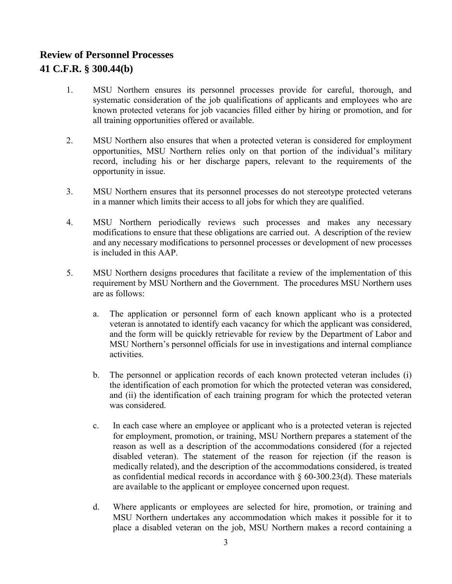# **Review of Personnel Processes**

#### **41 C.F.R. § 300.44(b)**

- 1. MSU Northern ensures its personnel processes provide for careful, thorough, and systematic consideration of the job qualifications of applicants and employees who are known protected veterans for job vacancies filled either by hiring or promotion, and for all training opportunities offered or available.
- 2. MSU Northern also ensures that when a protected veteran is considered for employment opportunities, MSU Northern relies only on that portion of the individual's military record, including his or her discharge papers, relevant to the requirements of the opportunity in issue.
- 3. MSU Northern ensures that its personnel processes do not stereotype protected veterans in a manner which limits their access to all jobs for which they are qualified.
- 4. MSU Northern periodically reviews such processes and makes any necessary modifications to ensure that these obligations are carried out. A description of the review and any necessary modifications to personnel processes or development of new processes is included in this AAP.
- 5. MSU Northern designs procedures that facilitate a review of the implementation of this requirement by MSU Northern and the Government. The procedures MSU Northern uses are as follows:
	- a. The application or personnel form of each known applicant who is a protected veteran is annotated to identify each vacancy for which the applicant was considered, and the form will be quickly retrievable for review by the Department of Labor and MSU Northern's personnel officials for use in investigations and internal compliance activities.
	- b. The personnel or application records of each known protected veteran includes (i) the identification of each promotion for which the protected veteran was considered, and (ii) the identification of each training program for which the protected veteran was considered.
	- c. In each case where an employee or applicant who is a protected veteran is rejected for employment, promotion, or training, MSU Northern prepares a statement of the reason as well as a description of the accommodations considered (for a rejected disabled veteran). The statement of the reason for rejection (if the reason is medically related), and the description of the accommodations considered, is treated as confidential medical records in accordance with  $\S$  60-300.23(d). These materials are available to the applicant or employee concerned upon request.
	- d. Where applicants or employees are selected for hire, promotion, or training and MSU Northern undertakes any accommodation which makes it possible for it to place a disabled veteran on the job, MSU Northern makes a record containing a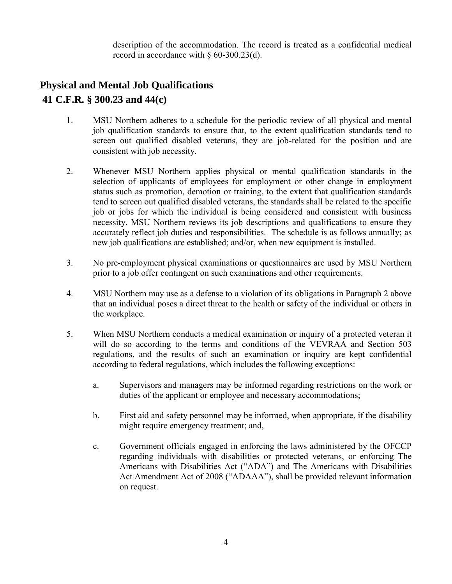description of the accommodation. The record is treated as a confidential medical record in accordance with § 60-300.23(d).

### **Physical and Mental Job Qualifications 41 C.F.R. § 300.23 and 44(c)**

- 1. MSU Northern adheres to a schedule for the periodic review of all physical and mental job qualification standards to ensure that, to the extent qualification standards tend to screen out qualified disabled veterans, they are job-related for the position and are consistent with job necessity.
- 2. Whenever MSU Northern applies physical or mental qualification standards in the selection of applicants of employees for employment or other change in employment status such as promotion, demotion or training, to the extent that qualification standards tend to screen out qualified disabled veterans, the standards shall be related to the specific job or jobs for which the individual is being considered and consistent with business necessity. MSU Northern reviews its job descriptions and qualifications to ensure they accurately reflect job duties and responsibilities. The schedule is as follows annually; as new job qualifications are established; and/or, when new equipment is installed.
- 3. No pre-employment physical examinations or questionnaires are used by MSU Northern prior to a job offer contingent on such examinations and other requirements.
- 4. MSU Northern may use as a defense to a violation of its obligations in Paragraph 2 above that an individual poses a direct threat to the health or safety of the individual or others in the workplace.
- 5. When MSU Northern conducts a medical examination or inquiry of a protected veteran it will do so according to the terms and conditions of the VEVRAA and Section 503 regulations, and the results of such an examination or inquiry are kept confidential according to federal regulations, which includes the following exceptions:
	- a. Supervisors and managers may be informed regarding restrictions on the work or duties of the applicant or employee and necessary accommodations;
	- b. First aid and safety personnel may be informed, when appropriate, if the disability might require emergency treatment; and,
	- c. Government officials engaged in enforcing the laws administered by the OFCCP regarding individuals with disabilities or protected veterans, or enforcing The Americans with Disabilities Act ("ADA") and The Americans with Disabilities Act Amendment Act of 2008 ("ADAAA"), shall be provided relevant information on request.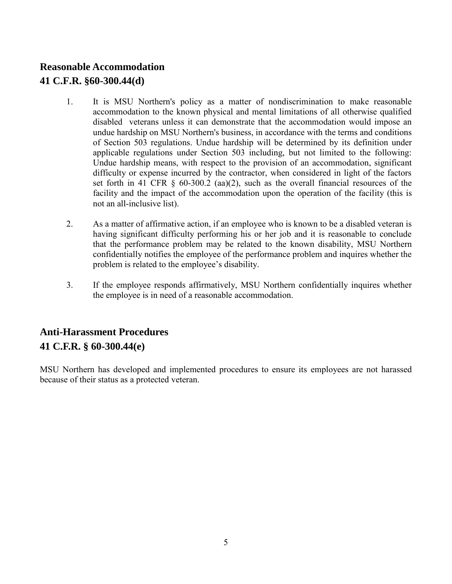### **Reasonable Accommodation 41 C.F.R. §60-300.44(d)**

- 1. It is MSU Northern's policy as a matter of nondiscrimination to make reasonable accommodation to the known physical and mental limitations of all otherwise qualified disabled veterans unless it can demonstrate that the accommodation would impose an undue hardship on MSU Northern's business, in accordance with the terms and conditions of Section 503 regulations. Undue hardship will be determined by its definition under applicable regulations under Section 503 including, but not limited to the following: Undue hardship means, with respect to the provision of an accommodation, significant difficulty or expense incurred by the contractor, when considered in light of the factors set forth in 41 CFR  $\&$  60-300.2 (aa)(2), such as the overall financial resources of the facility and the impact of the accommodation upon the operation of the facility (this is not an all-inclusive list).
- 2. As a matter of affirmative action, if an employee who is known to be a disabled veteran is having significant difficulty performing his or her job and it is reasonable to conclude that the performance problem may be related to the known disability, MSU Northern confidentially notifies the employee of the performance problem and inquires whether the problem is related to the employee's disability.
- 3. If the employee responds affirmatively, MSU Northern confidentially inquires whether the employee is in need of a reasonable accommodation.

### **Anti-Harassment Procedures 41 C.F.R. § 60-300.44(e)**

MSU Northern has developed and implemented procedures to ensure its employees are not harassed because of their status as a protected veteran.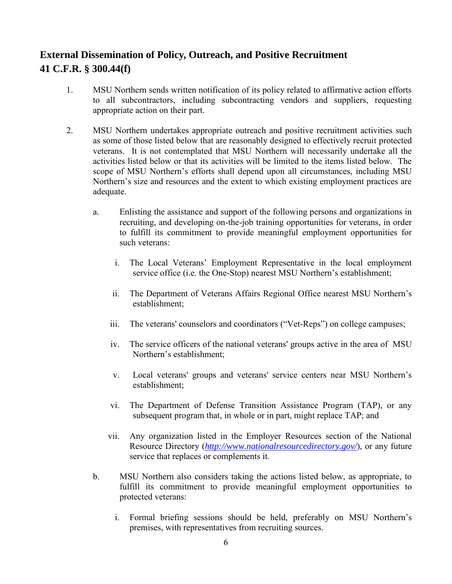# **External Dissemination of Policy, Outreach, and Positive Recruitment 41 C.F.R. § 300.44(f)**

- 1. MSU Northern sends written notification of its policy related to affirmative action efforts to all subcontractors, including subcontracting vendors and suppliers, requesting appropriate action on their part.
- 2. MSU Northern undertakes appropriate outreach and positive recruitment activities such as some of those listed below that are reasonably designed to effectively recruit protected veterans. It is not contemplated that MSU Northern will necessarily undertake all the activities listed below or that its activities will be limited to the items listed below. The scope of MSU Northern's efforts shall depend upon all circumstances, including MSU Northern's size and resources and the extent to which existing employment practices are adequate.
	- a. Enlisting the assistance and support of the following persons and organizations in recruiting, and developing on-the-job training opportunities for veterans, in order to fulfill its commitment to provide meaningful employment opportunities for such veterans:
		- i. The Local Veterans' Employment Representative in the local employment service office (i.e. the One-Stop) nearest MSU Northern's establishment;
		- ii. The Department of Veterans Affairs Regional Office nearest MSU Northern's establishment;
		- iii. The veterans' counselors and coordinators ("Vet-Reps") on college campuses;
		- iv. The service officers of the national veterans' groups active in the area of MSU Northern's establishment;
		- v. Local veterans' groups and veterans' service centers near MSU Northern's establishment;
		- vi. The Department of Defense Transition Assistance Program (TAP), or any subsequent program that, in whole or in part, might replace TAP; and
		- vii. Any organization listed in the Employer Resources section of the National Resource Directory (*http://www.nationalresourcedirectory.gov/*), or any future service that replaces or complements it.
	- b. MSU Northern also considers taking the actions listed below, as appropriate, to fulfill its commitment to provide meaningful employment opportunities to protected veterans:
		- i. Formal briefing sessions should be held, preferably on MSU Northern's premises, with representatives from recruiting sources.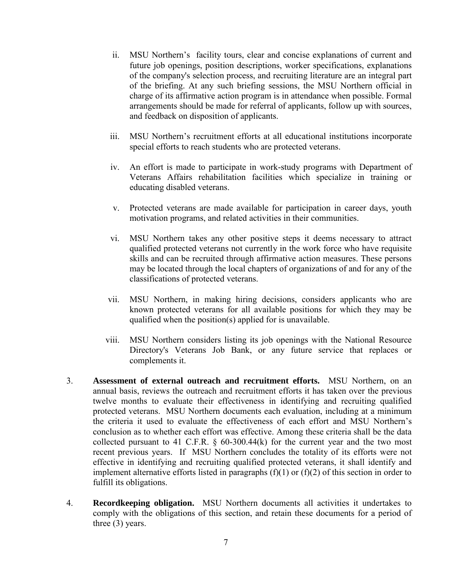- ii. MSU Northern's facility tours, clear and concise explanations of current and future job openings, position descriptions, worker specifications, explanations of the company's selection process, and recruiting literature are an integral part of the briefing. At any such briefing sessions, the MSU Northern official in charge of its affirmative action program is in attendance when possible. Formal arrangements should be made for referral of applicants, follow up with sources, and feedback on disposition of applicants.
- iii. MSU Northern's recruitment efforts at all educational institutions incorporate special efforts to reach students who are protected veterans.
- iv. An effort is made to participate in work-study programs with Department of Veterans Affairs rehabilitation facilities which specialize in training or educating disabled veterans.
- v. Protected veterans are made available for participation in career days, youth motivation programs, and related activities in their communities.
- vi. MSU Northern takes any other positive steps it deems necessary to attract qualified protected veterans not currently in the work force who have requisite skills and can be recruited through affirmative action measures. These persons may be located through the local chapters of organizations of and for any of the classifications of protected veterans.
- vii. MSU Northern, in making hiring decisions, considers applicants who are known protected veterans for all available positions for which they may be qualified when the position(s) applied for is unavailable.
- viii. MSU Northern considers listing its job openings with the National Resource Directory's Veterans Job Bank, or any future service that replaces or complements it.
- 3. **Assessment of external outreach and recruitment efforts.** MSU Northern, on an annual basis, reviews the outreach and recruitment efforts it has taken over the previous twelve months to evaluate their effectiveness in identifying and recruiting qualified protected veterans. MSU Northern documents each evaluation, including at a minimum the criteria it used to evaluate the effectiveness of each effort and MSU Northern's conclusion as to whether each effort was effective. Among these criteria shall be the data collected pursuant to 41 C.F.R.  $\S$  60-300.44(k) for the current year and the two most recent previous years. If MSU Northern concludes the totality of its efforts were not effective in identifying and recruiting qualified protected veterans, it shall identify and implement alternative efforts listed in paragraphs  $(f)(1)$  or  $(f)(2)$  of this section in order to fulfill its obligations.
- 4. **Recordkeeping obligation.** MSU Northern documents all activities it undertakes to comply with the obligations of this section, and retain these documents for a period of three (3) years.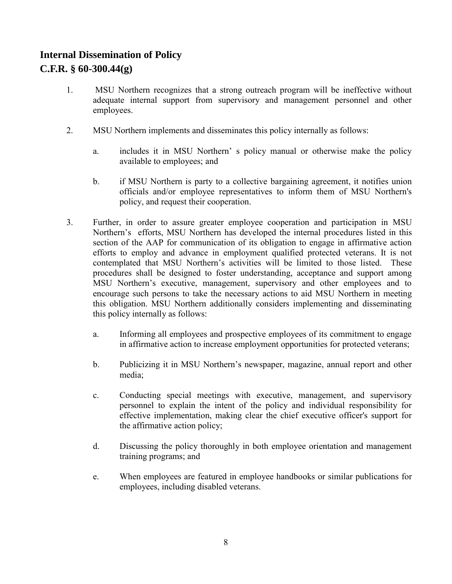# **Internal Dissemination of Policy**

# **C.F.R. § 60-300.44(g)**

- 1. MSU Northern recognizes that a strong outreach program will be ineffective without adequate internal support from supervisory and management personnel and other employees.
- 2. MSU Northern implements and disseminates this policy internally as follows:
	- a. includes it in MSU Northern' s policy manual or otherwise make the policy available to employees; and
	- b. if MSU Northern is party to a collective bargaining agreement, it notifies union officials and/or employee representatives to inform them of MSU Northern's policy, and request their cooperation.
- 3. Further, in order to assure greater employee cooperation and participation in MSU Northern's efforts, MSU Northern has developed the internal procedures listed in this section of the AAP for communication of its obligation to engage in affirmative action efforts to employ and advance in employment qualified protected veterans. It is not contemplated that MSU Northern's activities will be limited to those listed. These procedures shall be designed to foster understanding, acceptance and support among MSU Northern's executive, management, supervisory and other employees and to encourage such persons to take the necessary actions to aid MSU Northern in meeting this obligation. MSU Northern additionally considers implementing and disseminating this policy internally as follows:
	- a. Informing all employees and prospective employees of its commitment to engage in affirmative action to increase employment opportunities for protected veterans;
	- b. Publicizing it in MSU Northern's newspaper, magazine, annual report and other media;
	- c. Conducting special meetings with executive, management, and supervisory personnel to explain the intent of the policy and individual responsibility for effective implementation, making clear the chief executive officer's support for the affirmative action policy;
	- d. Discussing the policy thoroughly in both employee orientation and management training programs; and
	- e. When employees are featured in employee handbooks or similar publications for employees, including disabled veterans.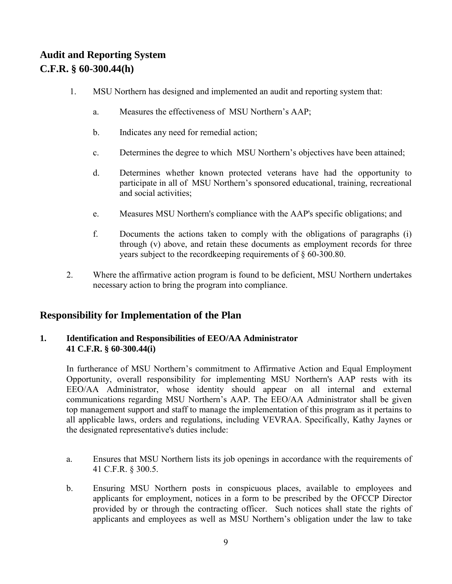## **Audit and Reporting System C.F.R. § 60-300.44(h)**

- 1. MSU Northern has designed and implemented an audit and reporting system that:
	- a. Measures the effectiveness of MSU Northern's AAP;
	- b. Indicates any need for remedial action;
	- c. Determines the degree to which MSU Northern's objectives have been attained;
	- d. Determines whether known protected veterans have had the opportunity to participate in all of MSU Northern's sponsored educational, training, recreational and social activities;
	- e. Measures MSU Northern's compliance with the AAP's specific obligations; and
	- f. Documents the actions taken to comply with the obligations of paragraphs (i) through (v) above, and retain these documents as employment records for three years subject to the recordkeeping requirements of § 60-300.80.
- 2. Where the affirmative action program is found to be deficient, MSU Northern undertakes necessary action to bring the program into compliance.

#### **Responsibility for Implementation of the Plan**

#### **1. Identification and Responsibilities of EEO/AA Administrator 41 C.F.R. § 60-300.44(i)**

In furtherance of MSU Northern's commitment to Affirmative Action and Equal Employment Opportunity, overall responsibility for implementing MSU Northern's AAP rests with its EEO/AA Administrator, whose identity should appear on all internal and external communications regarding MSU Northern's AAP. The EEO/AA Administrator shall be given top management support and staff to manage the implementation of this program as it pertains to all applicable laws, orders and regulations, including VEVRAA. Specifically, Kathy Jaynes or the designated representative's duties include:

- a. Ensures that MSU Northern lists its job openings in accordance with the requirements of 41 C.F.R. § 300.5.
- b. Ensuring MSU Northern posts in conspicuous places, available to employees and applicants for employment, notices in a form to be prescribed by the OFCCP Director provided by or through the contracting officer. Such notices shall state the rights of applicants and employees as well as MSU Northern's obligation under the law to take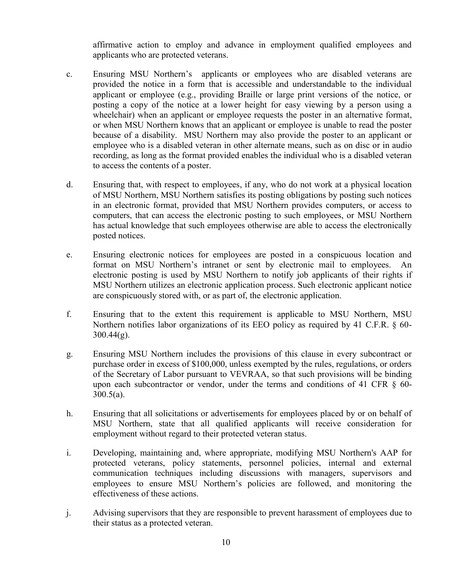affirmative action to employ and advance in employment qualified employees and applicants who are protected veterans.

- c. Ensuring MSU Northern's applicants or employees who are disabled veterans are provided the notice in a form that is accessible and understandable to the individual applicant or employee (e.g., providing Braille or large print versions of the notice, or posting a copy of the notice at a lower height for easy viewing by a person using a wheelchair) when an applicant or employee requests the poster in an alternative format, or when MSU Northern knows that an applicant or employee is unable to read the poster because of a disability. MSU Northern may also provide the poster to an applicant or employee who is a disabled veteran in other alternate means, such as on disc or in audio recording, as long as the format provided enables the individual who is a disabled veteran to access the contents of a poster.
- d. Ensuring that, with respect to employees, if any, who do not work at a physical location of MSU Northern, MSU Northern satisfies its posting obligations by posting such notices in an electronic format, provided that MSU Northern provides computers, or access to computers, that can access the electronic posting to such employees, or MSU Northern has actual knowledge that such employees otherwise are able to access the electronically posted notices.
- e. Ensuring electronic notices for employees are posted in a conspicuous location and format on MSU Northern's intranet or sent by electronic mail to employees. An electronic posting is used by MSU Northern to notify job applicants of their rights if MSU Northern utilizes an electronic application process. Such electronic applicant notice are conspicuously stored with, or as part of, the electronic application.
- f. Ensuring that to the extent this requirement is applicable to MSU Northern, MSU Northern notifies labor organizations of its EEO policy as required by 41 C.F.R. § 60-  $300.44(g)$ .
- g. Ensuring MSU Northern includes the provisions of this clause in every subcontract or purchase order in excess of \$100,000, unless exempted by the rules, regulations, or orders of the Secretary of Labor pursuant to VEVRAA, so that such provisions will be binding upon each subcontractor or vendor, under the terms and conditions of 41 CFR § 60-  $300.5(a)$ .
- h. Ensuring that all solicitations or advertisements for employees placed by or on behalf of MSU Northern, state that all qualified applicants will receive consideration for employment without regard to their protected veteran status.
- i. Developing, maintaining and, where appropriate, modifying MSU Northern's AAP for protected veterans, policy statements, personnel policies, internal and external communication techniques including discussions with managers, supervisors and employees to ensure MSU Northern's policies are followed, and monitoring the effectiveness of these actions.
- j. Advising supervisors that they are responsible to prevent harassment of employees due to their status as a protected veteran.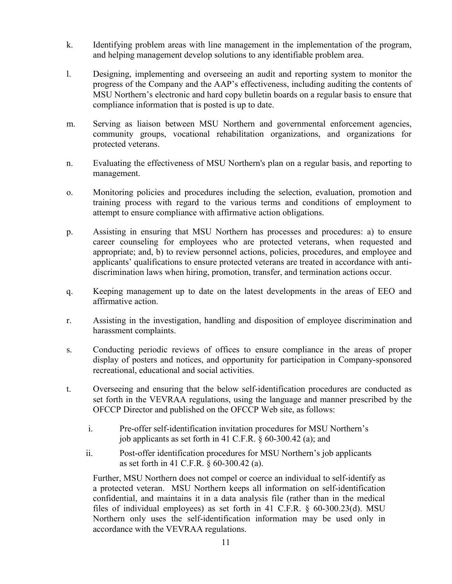- k. Identifying problem areas with line management in the implementation of the program, and helping management develop solutions to any identifiable problem area.
- l. Designing, implementing and overseeing an audit and reporting system to monitor the progress of the Company and the AAP's effectiveness, including auditing the contents of MSU Northern's electronic and hard copy bulletin boards on a regular basis to ensure that compliance information that is posted is up to date.
- m. Serving as liaison between MSU Northern and governmental enforcement agencies, community groups, vocational rehabilitation organizations, and organizations for protected veterans.
- n. Evaluating the effectiveness of MSU Northern's plan on a regular basis, and reporting to management.
- o. Monitoring policies and procedures including the selection, evaluation, promotion and training process with regard to the various terms and conditions of employment to attempt to ensure compliance with affirmative action obligations.
- p. Assisting in ensuring that MSU Northern has processes and procedures: a) to ensure career counseling for employees who are protected veterans, when requested and appropriate; and, b) to review personnel actions, policies, procedures, and employee and applicants' qualifications to ensure protected veterans are treated in accordance with antidiscrimination laws when hiring, promotion, transfer, and termination actions occur.
- q. Keeping management up to date on the latest developments in the areas of EEO and affirmative action.
- r. Assisting in the investigation, handling and disposition of employee discrimination and harassment complaints.
- s. Conducting periodic reviews of offices to ensure compliance in the areas of proper display of posters and notices, and opportunity for participation in Company-sponsored recreational, educational and social activities.
- t. Overseeing and ensuring that the below self-identification procedures are conducted as set forth in the VEVRAA regulations, using the language and manner prescribed by the OFCCP Director and published on the OFCCP Web site, as follows:
	- i. Pre-offer self-identification invitation procedures for MSU Northern's job applicants as set forth in 41 C.F.R. § 60-300.42 (a); and
	- ii. Post-offer identification procedures for MSU Northern's job applicants as set forth in 41 C.F.R. § 60-300.42 (a).

Further, MSU Northern does not compel or coerce an individual to self-identify as a protected veteran. MSU Northern keeps all information on self-identification confidential, and maintains it in a data analysis file (rather than in the medical files of individual employees) as set forth in 41 C.F.R. § 60-300.23(d). MSU Northern only uses the self-identification information may be used only in accordance with the VEVRAA regulations.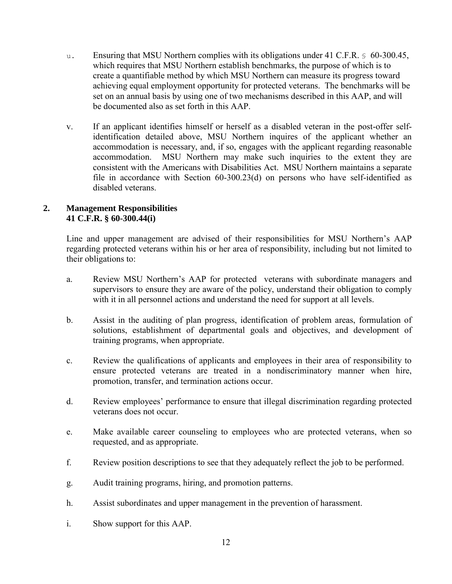- u. Ensuring that MSU Northern complies with its obligations under 41 C.F.R. § 60-300.45, which requires that MSU Northern establish benchmarks, the purpose of which is to create a quantifiable method by which MSU Northern can measure its progress toward achieving equal employment opportunity for protected veterans. The benchmarks will be set on an annual basis by using one of two mechanisms described in this AAP, and will be documented also as set forth in this AAP.
- v. If an applicant identifies himself or herself as a disabled veteran in the post-offer selfidentification detailed above, MSU Northern inquires of the applicant whether an accommodation is necessary, and, if so, engages with the applicant regarding reasonable accommodation. MSU Northern may make such inquiries to the extent they are consistent with the Americans with Disabilities Act. MSU Northern maintains a separate file in accordance with Section 60-300.23(d) on persons who have self-identified as disabled veterans.

#### **2. Management Responsibilities 41 C.F.R. § 60-300.44(i)**

Line and upper management are advised of their responsibilities for MSU Northern's AAP regarding protected veterans within his or her area of responsibility, including but not limited to their obligations to:

- a. Review MSU Northern's AAP for protected veterans with subordinate managers and supervisors to ensure they are aware of the policy, understand their obligation to comply with it in all personnel actions and understand the need for support at all levels.
- b. Assist in the auditing of plan progress, identification of problem areas, formulation of solutions, establishment of departmental goals and objectives, and development of training programs, when appropriate.
- c. Review the qualifications of applicants and employees in their area of responsibility to ensure protected veterans are treated in a nondiscriminatory manner when hire, promotion, transfer, and termination actions occur.
- d. Review employees' performance to ensure that illegal discrimination regarding protected veterans does not occur.
- e. Make available career counseling to employees who are protected veterans, when so requested, and as appropriate.
- f. Review position descriptions to see that they adequately reflect the job to be performed.
- g. Audit training programs, hiring, and promotion patterns.
- h. Assist subordinates and upper management in the prevention of harassment.
- i. Show support for this AAP.